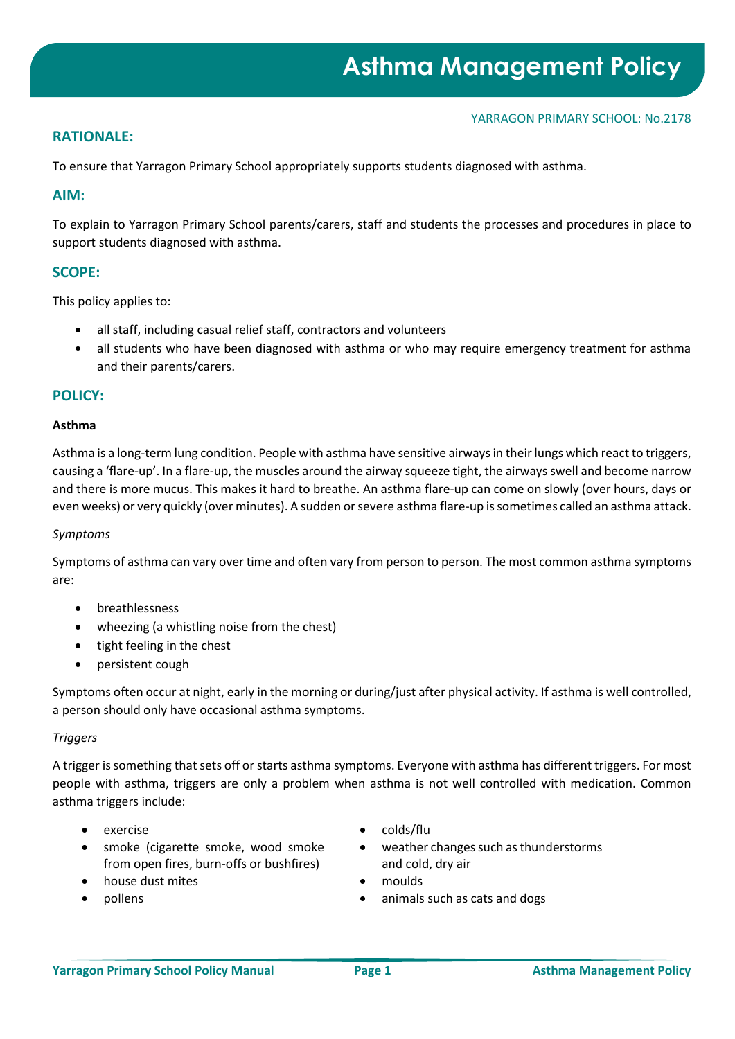# **RATIONALE:**

To ensure that Yarragon Primary School appropriately supports students diagnosed with asthma.

# **AIM:**

To explain to Yarragon Primary School parents/carers, staff and students the processes and procedures in place to support students diagnosed with asthma.

# **SCOPE:**

This policy applies to:

- all staff, including casual relief staff, contractors and volunteers
- all students who have been diagnosed with asthma or who may require emergency treatment for asthma and their parents/carers.

## **POLICY:**

# **Asthma**

Asthma is a long-term lung condition. People with asthma have sensitive airways in their lungs which react to triggers, causing a 'flare-up'. In a flare-up, the muscles around the airway squeeze tight, the airways swell and become narrow and there is more mucus. This makes it hard to breathe. An asthma flare-up can come on slowly (over hours, days or even weeks) or very quickly (over minutes). A sudden or severe asthma flare-up is sometimes called an asthma attack.

#### *Symptoms*

Symptoms of asthma can vary over time and often vary from person to person. The most common asthma symptoms are:

- breathlessness
- wheezing (a whistling noise from the chest)
- tight feeling in the chest
- persistent cough

Symptoms often occur at night, early in the morning or during/just after physical activity. If asthma is well controlled, a person should only have occasional asthma symptoms.

## *Triggers*

A trigger is something that sets off or starts asthma symptoms. Everyone with asthma has different triggers. For most people with asthma, triggers are only a problem when asthma is not well controlled with medication. Common asthma triggers include:

- 
- smoke (cigarette smoke, wood smoke from open fires, burn-offs or bushfires)
- house dust mites moulds
- 
- exercise colds/flu
	- weather changes such as thunderstorms and cold, dry air
	-
	- pollens animals such as cats and dogs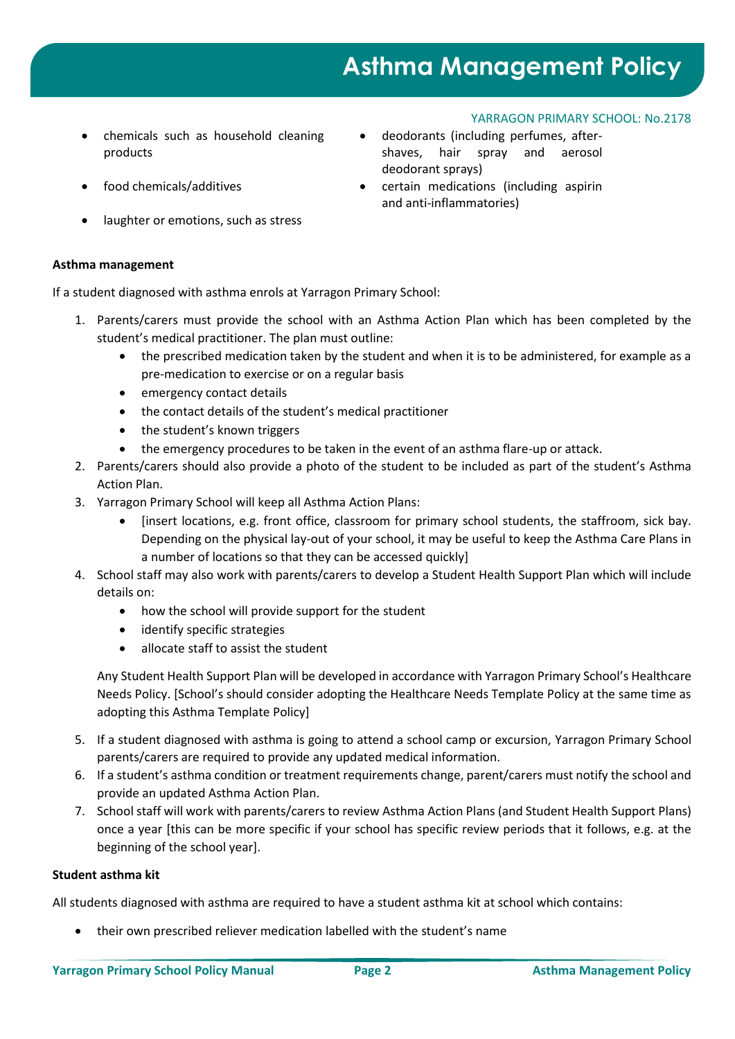# **Asthma Management Policy**

YARRAGON PRIMARY SCHOOL: No.2178

- chemicals such as household cleaning products
- 
- laughter or emotions, such as stress

# **Asthma management**

If a student diagnosed with asthma enrols at Yarragon Primary School:

- 1. Parents/carers must provide the school with an Asthma Action Plan which has been completed by the student's medical practitioner. The plan must outline:
	- the prescribed medication taken by the student and when it is to be administered, for example as a pre-medication to exercise or on a regular basis
	- emergency contact details
	- the contact details of the student's medical practitioner
	- the student's known triggers
	- the emergency procedures to be taken in the event of an asthma flare-up or attack.
- 2. Parents/carers should also provide a photo of the student to be included as part of the student's Asthma Action Plan.
- 3. Yarragon Primary School will keep all Asthma Action Plans:
	- [insert locations, e.g. front office, classroom for primary school students, the staffroom, sick bay. Depending on the physical lay-out of your school, it may be useful to keep the Asthma Care Plans in a number of locations so that they can be accessed quickly]
- 4. School staff may also work with parents/carers to develop a Student Health Support Plan which will include details on:
	- how the school will provide support for the student
	- identify specific strategies
	- allocate staff to assist the student

Any Student Health Support Plan will be developed in accordance with Yarragon Primary School's Healthcare Needs Policy. [School's should consider adopting the Healthcare Needs Template Policy at the same time as adopting this Asthma Template Policy]

- 5. If a student diagnosed with asthma is going to attend a school camp or excursion, Yarragon Primary School parents/carers are required to provide any updated medical information.
- 6. If a student's asthma condition or treatment requirements change, parent/carers must notify the school and provide an updated Asthma Action Plan.
- 7. School staff will work with parents/carers to review Asthma Action Plans (and Student Health Support Plans) once a year [this can be more specific if your school has specific review periods that it follows, e.g. at the beginning of the school year].

## **Student asthma kit**

All students diagnosed with asthma are required to have a student asthma kit at school which contains:

• their own prescribed reliever medication labelled with the student's name

- deodorants (including perfumes, aftershaves, hair spray and aerosol deodorant sprays)
- food chemicals/additives certain medications (including aspirin and anti-inflammatories)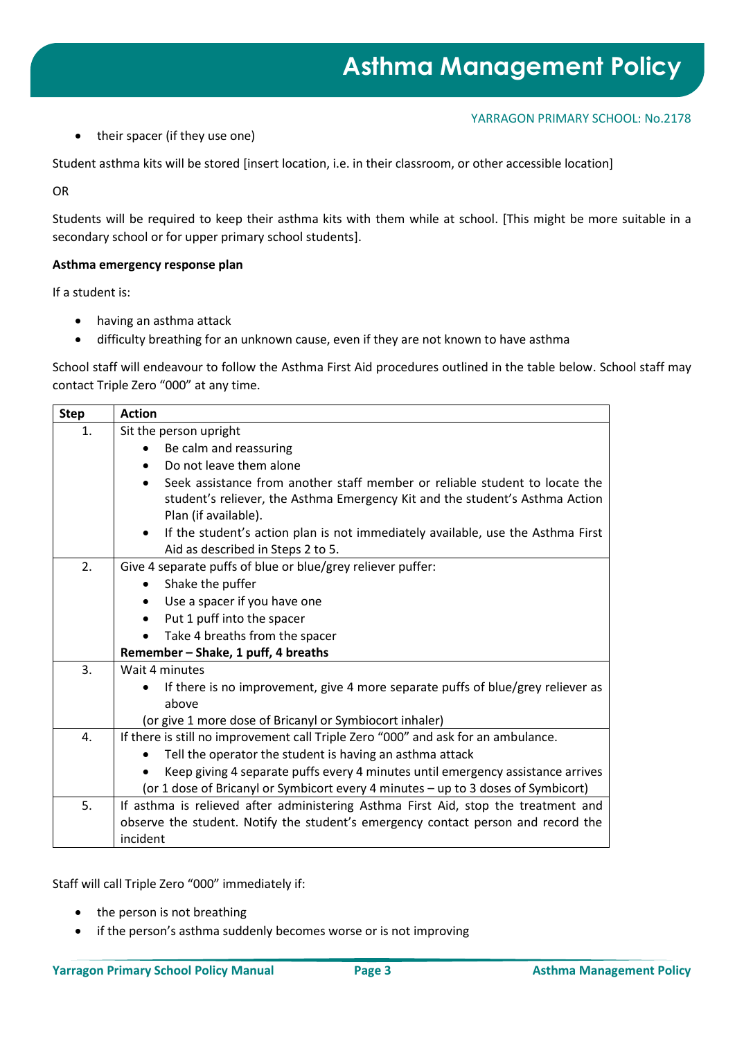• their spacer (if they use one)

Student asthma kits will be stored [insert location, i.e. in their classroom, or other accessible location]

OR

Students will be required to keep their asthma kits with them while at school. [This might be more suitable in a secondary school or for upper primary school students].

## **Asthma emergency response plan**

If a student is:

- having an asthma attack
- difficulty breathing for an unknown cause, even if they are not known to have asthma

School staff will endeavour to follow the Asthma First Aid procedures outlined in the table below. School staff may contact Triple Zero "000" at any time.

| <b>Step</b> | <b>Action</b>                                                                                                                                                                                    |  |  |  |  |
|-------------|--------------------------------------------------------------------------------------------------------------------------------------------------------------------------------------------------|--|--|--|--|
| 1.          | Sit the person upright                                                                                                                                                                           |  |  |  |  |
|             | Be calm and reassuring                                                                                                                                                                           |  |  |  |  |
|             | Do not leave them alone<br>$\bullet$                                                                                                                                                             |  |  |  |  |
|             | Seek assistance from another staff member or reliable student to locate the<br>$\bullet$<br>student's reliever, the Asthma Emergency Kit and the student's Asthma Action<br>Plan (if available). |  |  |  |  |
|             | If the student's action plan is not immediately available, use the Asthma First<br>$\bullet$<br>Aid as described in Steps 2 to 5.                                                                |  |  |  |  |
| 2.          | Give 4 separate puffs of blue or blue/grey reliever puffer:                                                                                                                                      |  |  |  |  |
|             | Shake the puffer<br>$\bullet$                                                                                                                                                                    |  |  |  |  |
|             | Use a spacer if you have one<br>$\bullet$                                                                                                                                                        |  |  |  |  |
|             | Put 1 puff into the spacer<br>$\bullet$                                                                                                                                                          |  |  |  |  |
|             | Take 4 breaths from the spacer                                                                                                                                                                   |  |  |  |  |
|             | Remember - Shake, 1 puff, 4 breaths                                                                                                                                                              |  |  |  |  |
| 3.          | Wait 4 minutes                                                                                                                                                                                   |  |  |  |  |
|             | If there is no improvement, give 4 more separate puffs of blue/grey reliever as<br>above                                                                                                         |  |  |  |  |
|             | (or give 1 more dose of Bricanyl or Symbiocort inhaler)                                                                                                                                          |  |  |  |  |
| 4.          | If there is still no improvement call Triple Zero "000" and ask for an ambulance.                                                                                                                |  |  |  |  |
|             | Tell the operator the student is having an asthma attack                                                                                                                                         |  |  |  |  |
|             | Keep giving 4 separate puffs every 4 minutes until emergency assistance arrives                                                                                                                  |  |  |  |  |
|             | (or 1 dose of Bricanyl or Symbicort every 4 minutes - up to 3 doses of Symbicort)                                                                                                                |  |  |  |  |
| 5.          | If asthma is relieved after administering Asthma First Aid, stop the treatment and                                                                                                               |  |  |  |  |
|             | observe the student. Notify the student's emergency contact person and record the                                                                                                                |  |  |  |  |
|             | incident                                                                                                                                                                                         |  |  |  |  |

Staff will call Triple Zero "000" immediately if:

- the person is not breathing
- if the person's asthma suddenly becomes worse or is not improving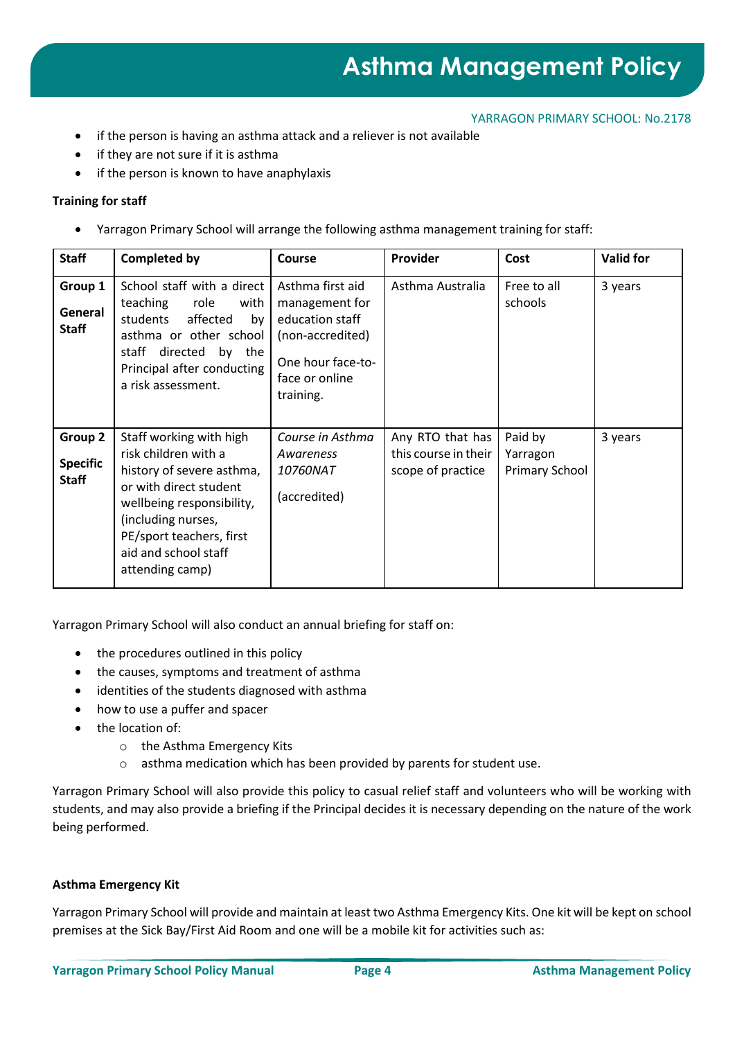- if the person is having an asthma attack and a reliever is not available
- if they are not sure if it is asthma
- if the person is known to have anaphylaxis

## **Training for staff**

• Yarragon Primary School will arrange the following asthma management training for staff:

| <b>Staff</b>                               | <b>Completed by</b>                                                                                                                                                                                                              | <b>Course</b>                                                                                                                 | Provider                                                      | Cost                                         | <b>Valid for</b> |
|--------------------------------------------|----------------------------------------------------------------------------------------------------------------------------------------------------------------------------------------------------------------------------------|-------------------------------------------------------------------------------------------------------------------------------|---------------------------------------------------------------|----------------------------------------------|------------------|
| Group 1<br>General<br><b>Staff</b>         | School staff with a direct<br>role<br>teaching<br>with<br>affected<br>students<br>by<br>asthma or other school<br>staff directed<br>by the<br>Principal after conducting<br>a risk assessment.                                   | Asthma first aid<br>management for<br>education staff<br>(non-accredited)<br>One hour face-to-<br>face or online<br>training. | Asthma Australia                                              | Free to all<br>schools                       | 3 years          |
| Group 2<br><b>Specific</b><br><b>Staff</b> | Staff working with high<br>risk children with a<br>history of severe asthma,<br>or with direct student<br>wellbeing responsibility,<br>(including nurses,<br>PE/sport teachers, first<br>aid and school staff<br>attending camp) | Course in Asthma<br>Awareness<br><i>10760NAT</i><br>(accredited)                                                              | Any RTO that has<br>this course in their<br>scope of practice | Paid by<br>Yarragon<br><b>Primary School</b> | 3 years          |

Yarragon Primary School will also conduct an annual briefing for staff on:

- the procedures outlined in this policy
- the causes, symptoms and treatment of asthma
- identities of the students diagnosed with asthma
- how to use a puffer and spacer
- the location of:
	- o the Asthma Emergency Kits
	- o asthma medication which has been provided by parents for student use.

Yarragon Primary School will also provide this policy to casual relief staff and volunteers who will be working with students, and may also provide a briefing if the Principal decides it is necessary depending on the nature of the work being performed.

#### **Asthma Emergency Kit**

Yarragon Primary School will provide and maintain at least two Asthma Emergency Kits. One kit will be kept on school premises at the Sick Bay/First Aid Room and one will be a mobile kit for activities such as: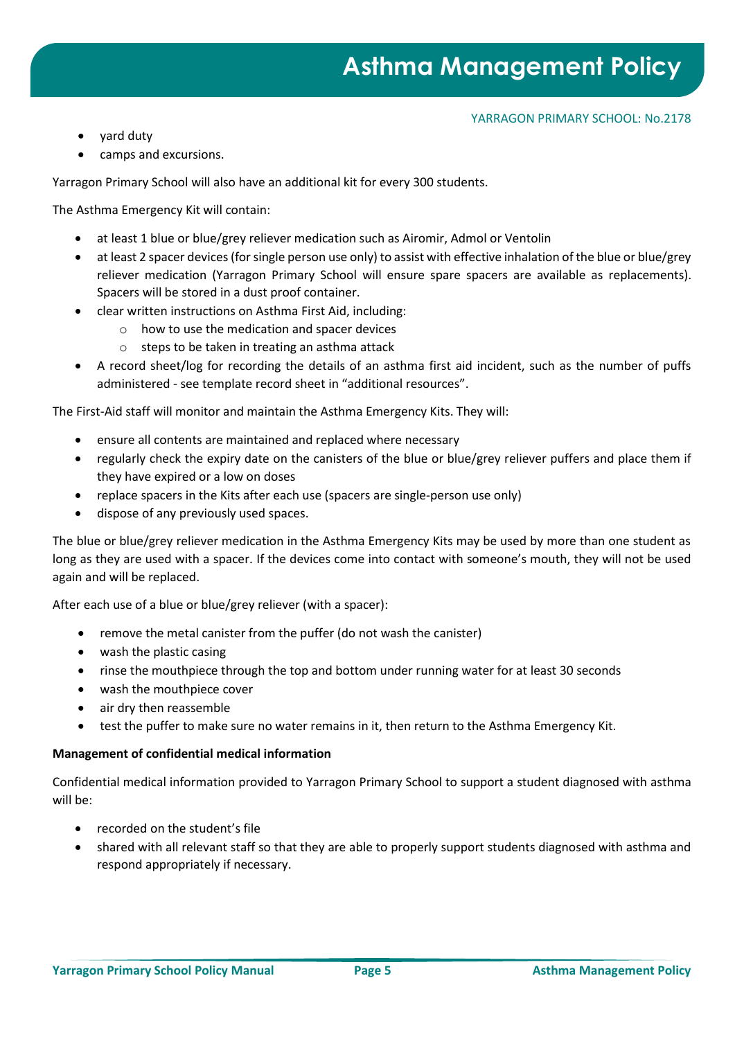- yard duty
- camps and excursions.

Yarragon Primary School will also have an additional kit for every 300 students.

The Asthma Emergency Kit will contain:

- at least 1 blue or blue/grey reliever medication such as Airomir, Admol or Ventolin
- at least 2 spacer devices (for single person use only) to assist with effective inhalation of the blue or blue/grey reliever medication (Yarragon Primary School will ensure spare spacers are available as replacements). Spacers will be stored in a dust proof container.
- clear written instructions on Asthma First Aid, including:
	- o how to use the medication and spacer devices
	- o steps to be taken in treating an asthma attack
- A record sheet/log for recording the details of an asthma first aid incident, such as the number of puffs administered - see template record sheet in "additional resources".

The First-Aid staff will monitor and maintain the Asthma Emergency Kits. They will:

- ensure all contents are maintained and replaced where necessary
- regularly check the expiry date on the canisters of the blue or blue/grey reliever puffers and place them if they have expired or a low on doses
- replace spacers in the Kits after each use (spacers are single-person use only)
- dispose of any previously used spaces.

The blue or blue/grey reliever medication in the Asthma Emergency Kits may be used by more than one student as long as they are used with a spacer. If the devices come into contact with someone's mouth, they will not be used again and will be replaced.

After each use of a blue or blue/grey reliever (with a spacer):

- remove the metal canister from the puffer (do not wash the canister)
- wash the plastic casing
- rinse the mouthpiece through the top and bottom under running water for at least 30 seconds
- wash the mouthpiece cover
- air dry then reassemble
- test the puffer to make sure no water remains in it, then return to the Asthma Emergency Kit.

#### **Management of confidential medical information**

Confidential medical information provided to Yarragon Primary School to support a student diagnosed with asthma will be:

- recorded on the student's file
- shared with all relevant staff so that they are able to properly support students diagnosed with asthma and respond appropriately if necessary.